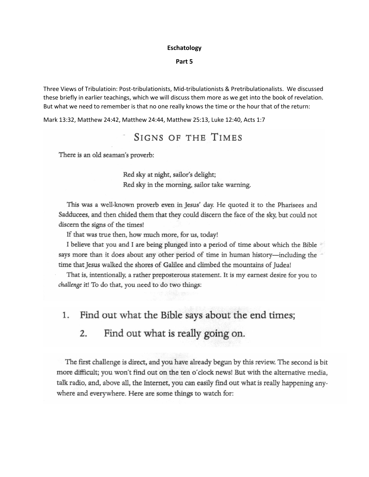## **Eschatology**

## **Part 5**

Three Views of Tribulatioin: Post-tribulationists, Mid-tribulationists & Pretribulationalists. We discussed these briefly in earlier teachings, which we will discuss them more as we get into the book of revelation. But what we need to remember is that no one really knows the time or the hour that of the return:

Mark 13:32, Matthew 24:42, Matthew 24:44, Matthew 25:13, Luke 12:40, Acts 1:7

# **SIGNS OF THE TIMES**

There is an old seaman's proverb:

Red sky at night, sailor's delight; Red sky in the morning, sailor take warning.

This was a well-known proverb even in Jesus' day. He quoted it to the Pharisees and Sadducees, and then chided them that they could discern the face of the sky, but could not discern the signs of the times!

If that was true then, how much more, for us, today!

I believe that you and I are being plunged into a period of time about which the Bible says more than it does about any other period of time in human history—including the time that Jesus walked the shores of Galilee and climbed the mountains of Judea!

That is, intentionally, a rather preposterous statement. It is my earnest desire for you to challenge it! To do that, you need to do two things:

#### 1. Find out what the Bible says about the end times;

#### Find out what is really going on.  $2.$

The first challenge is direct, and you have already begun by this review. The second is bit more difficult; you won't find out on the ten o'clock news! But with the alternative media, talk radio, and, above all, the Internet, you can easily find out what is really happening anywhere and everywhere. Here are some things to watch for: